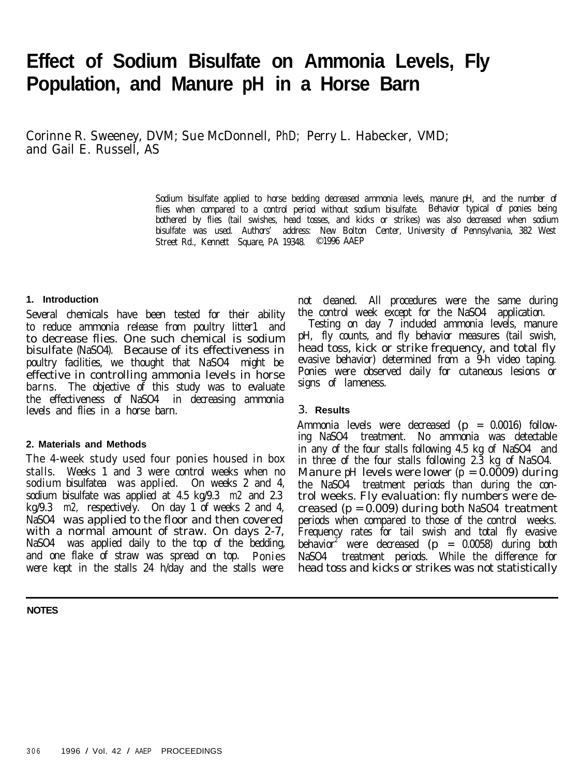# **Effect of Sodium Bisulfate on Ammonia Levels, Fly Population, and Manure pH in a Horse Barn**

Corinne R. Sweeney, DVM; Sue McDonnell, PhD; Perry L. Habecker, VMD; and Gail E. Russell, AS

> Sodium bisulfate applied to horse bedding decreased ammonia levels, manure pH, and the number of flies when compared to a control period without sodium bisulfate. Behavior typical of ponies being bothered by flies (tail swishes, head tosses, and kicks or strikes) was also decreased when sodium bisulfate was used. Authors' address: New Bolton Center, University of Pennsylvania, 382 West Street Rd., Kennett Square, PA 19348. © 1996 AAEP

### **1. Introduction**

Several chemicals have been tested for their ability to reduce ammonia release from poultry litter1 and to decrease flies. One such chemical is sodium bisulfate (NaSO4). Because of its effectiveness in poultry facilities, we thought that NaSO4 might be effective in controlling ammonia levels in horse barns. The objective of this study was to evaluate the effectiveness of NaSO4 in decreasing ammonia levels and flies in a horse barn.

#### **2. Materials and Methods**

The 4-week study used four ponies housed in box stalls. Weeks 1 and 3 were control weeks when no sodium bisulfatea was applied. On weeks 2 and 4, sodium bisulfate was applied at 4.5 kg/9.3 m2 and 2.3 kg/9.3 m2, respectively. On day 1 of weeks 2 and 4, NaSO4 was applied to the floor and then covered with a normal amount of straw. On days 2-7, NaSO4 was applied daily to the top of the bedding, and one flake of straw was spread on top. Ponies were kept in the stalls 24 h/day and the stalls were

#### **NOTES**

not cleaned. All procedures were the same during the control week except for the NaSO4 application.

Testing on day 7 included ammonia levels, manure pH, fly counts, and fly behavior measures (tail swish, head toss, kick or strike frequency, and total fly evasive behavior) determined from a 9-h video taping. Ponies were observed daily for cutaneous lesions or signs of lameness.

### 3. **Results**

Ammonia levels were decreased (p = 0.0016) following NaSO4 treatment. No ammonia was detectable in any of the four stalls following 4.5 kg of NaSO4 and in three of the four stalls following 2.3 kg of NaSO4. Manure pH levels were lower  $(p = 0.0009)$  during the NaSO4 treatment periods than during the control weeks. Fly evaluation: fly numbers were decreased  $(p = 0.009)$  during both NaSO4 treatment periods when compared to those of the control weeks. Frequency rates for tail swish and total fly evasive behavior<sup>2</sup> were decreased (p = 0.0058) during both NaSO4 treatment periods. While the difference for head toss and kicks or strikes was not statistically